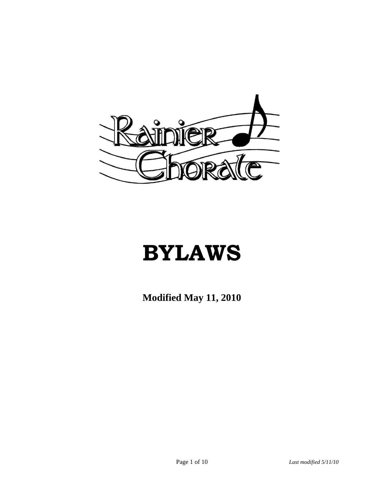

# **BYLAWS**

**Modified May 11, 2010**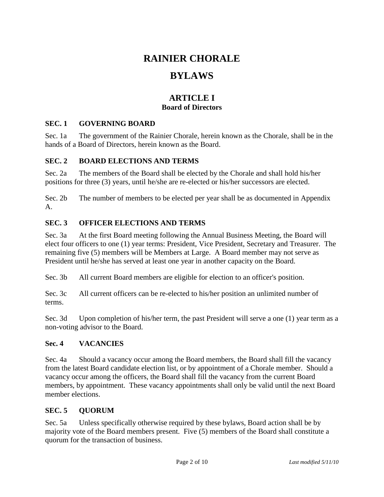# **RAINIER CHORALE**

# **BYLAWS**

# **ARTICLE I Board of Directors**

#### **SEC. 1 GOVERNING BOARD**

Sec. 1a The government of the Rainier Chorale, herein known as the Chorale, shall be in the hands of a Board of Directors, herein known as the Board.

#### **SEC. 2 BOARD ELECTIONS AND TERMS**

Sec. 2a The members of the Board shall be elected by the Chorale and shall hold his/her positions for three (3) years, until he/she are re-elected or his/her successors are elected.

Sec. 2b The number of members to be elected per year shall be as documented in Appendix A.

#### **SEC. 3 OFFICER ELECTIONS AND TERMS**

Sec. 3a At the first Board meeting following the Annual Business Meeting, the Board will elect four officers to one (1) year terms: President, Vice President, Secretary and Treasurer. The remaining five (5) members will be Members at Large. A Board member may not serve as President until he/she has served at least one year in another capacity on the Board.

Sec. 3b All current Board members are eligible for election to an officer's position.

Sec. 3c All current officers can be re-elected to his/her position an unlimited number of terms.

Sec. 3d Upon completion of his/her term, the past President will serve a one (1) year term as a non-voting advisor to the Board.

#### **Sec. 4 VACANCIES**

Sec. 4a Should a vacancy occur among the Board members, the Board shall fill the vacancy from the latest Board candidate election list, or by appointment of a Chorale member. Should a vacancy occur among the officers, the Board shall fill the vacancy from the current Board members, by appointment. These vacancy appointments shall only be valid until the next Board member elections.

#### **SEC. 5 QUORUM**

Sec. 5a Unless specifically otherwise required by these bylaws, Board action shall be by majority vote of the Board members present. Five (5) members of the Board shall constitute a quorum for the transaction of business.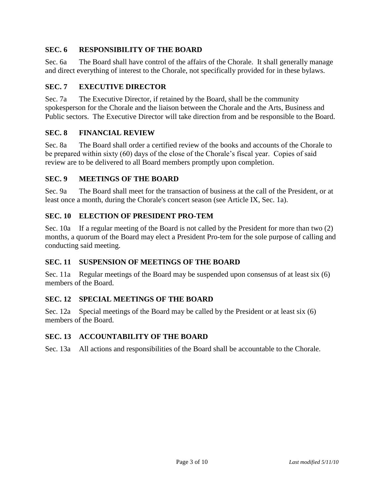# **SEC. 6 RESPONSIBILITY OF THE BOARD**

Sec. 6a The Board shall have control of the affairs of the Chorale. It shall generally manage and direct everything of interest to the Chorale, not specifically provided for in these bylaws.

# **SEC. 7 EXECUTIVE DIRECTOR**

Sec. 7a The Executive Director, if retained by the Board, shall be the community spokesperson for the Chorale and the liaison between the Chorale and the Arts, Business and Public sectors. The Executive Director will take direction from and be responsible to the Board.

# **SEC. 8 FINANCIAL REVIEW**

Sec. 8a The Board shall order a certified review of the books and accounts of the Chorale to be prepared within sixty (60) days of the close of the Chorale's fiscal year. Copies of said review are to be delivered to all Board members promptly upon completion.

# **SEC. 9 MEETINGS OF THE BOARD**

Sec. 9a The Board shall meet for the transaction of business at the call of the President, or at least once a month, during the Chorale's concert season (see Article IX, Sec. 1a).

# **SEC. 10 ELECTION OF PRESIDENT PRO-TEM**

Sec. 10a If a regular meeting of the Board is not called by the President for more than two (2) months, a quorum of the Board may elect a President Pro-tem for the sole purpose of calling and conducting said meeting.

# **SEC. 11 SUSPENSION OF MEETINGS OF THE BOARD**

Sec. 11a Regular meetings of the Board may be suspended upon consensus of at least six (6) members of the Board.

# **SEC. 12 SPECIAL MEETINGS OF THE BOARD**

Sec. 12a Special meetings of the Board may be called by the President or at least six (6) members of the Board.

# **SEC. 13 ACCOUNTABILITY OF THE BOARD**

Sec. 13a All actions and responsibilities of the Board shall be accountable to the Chorale.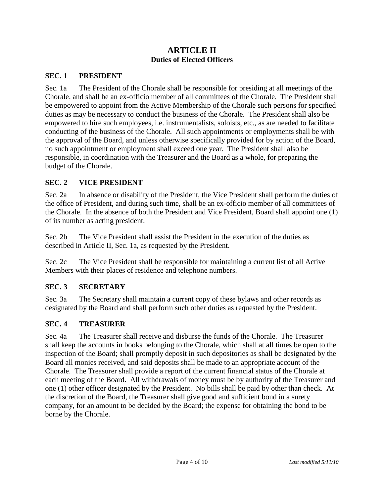# **ARTICLE II Duties of Elected Officers**

#### **SEC. 1 PRESIDENT**

Sec. 1a The President of the Chorale shall be responsible for presiding at all meetings of the Chorale, and shall be an ex-officio member of all committees of the Chorale. The President shall be empowered to appoint from the Active Membership of the Chorale such persons for specified duties as may be necessary to conduct the business of the Chorale. The President shall also be empowered to hire such employees, i.e. instrumentalists, soloists, etc., as are needed to facilitate conducting of the business of the Chorale. All such appointments or employments shall be with the approval of the Board, and unless otherwise specifically provided for by action of the Board, no such appointment or employment shall exceed one year. The President shall also be responsible, in coordination with the Treasurer and the Board as a whole, for preparing the budget of the Chorale.

#### **SEC. 2 VICE PRESIDENT**

Sec. 2a In absence or disability of the President, the Vice President shall perform the duties of the office of President, and during such time, shall be an ex-officio member of all committees of the Chorale. In the absence of both the President and Vice President, Board shall appoint one (1) of its number as acting president.

Sec. 2b The Vice President shall assist the President in the execution of the duties as described in Article II, Sec. 1a, as requested by the President.

Sec. 2c The Vice President shall be responsible for maintaining a current list of all Active Members with their places of residence and telephone numbers.

# **SEC. 3 SECRETARY**

Sec. 3a The Secretary shall maintain a current copy of these bylaws and other records as designated by the Board and shall perform such other duties as requested by the President.

#### **SEC. 4 TREASURER**

Sec. 4a The Treasurer shall receive and disburse the funds of the Chorale. The Treasurer shall keep the accounts in books belonging to the Chorale, which shall at all times be open to the inspection of the Board; shall promptly deposit in such depositories as shall be designated by the Board all monies received, and said deposits shall be made to an appropriate account of the Chorale. The Treasurer shall provide a report of the current financial status of the Chorale at each meeting of the Board. All withdrawals of money must be by authority of the Treasurer and one (1) other officer designated by the President. No bills shall be paid by other than check. At the discretion of the Board, the Treasurer shall give good and sufficient bond in a surety company, for an amount to be decided by the Board; the expense for obtaining the bond to be borne by the Chorale.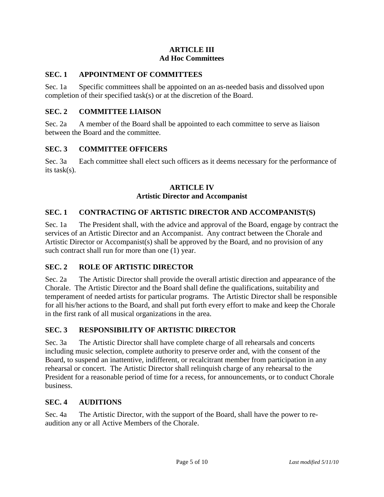#### **ARTICLE III Ad Hoc Committees**

#### **SEC. 1 APPOINTMENT OF COMMITTEES**

Sec. 1a Specific committees shall be appointed on an as-needed basis and dissolved upon completion of their specified task(s) or at the discretion of the Board.

#### **SEC. 2 COMMITTEE LIAISON**

Sec. 2a A member of the Board shall be appointed to each committee to serve as liaison between the Board and the committee.

#### **SEC. 3 COMMITTEE OFFICERS**

Sec. 3a Each committee shall elect such officers as it deems necessary for the performance of its task(s).

#### **ARTICLE IV Artistic Director and Accompanist**

#### **SEC. 1 CONTRACTING OF ARTISTIC DIRECTOR AND ACCOMPANIST(S)**

Sec. 1a The President shall, with the advice and approval of the Board, engage by contract the services of an Artistic Director and an Accompanist. Any contract between the Chorale and Artistic Director or Accompanist(s) shall be approved by the Board, and no provision of any such contract shall run for more than one (1) year.

#### **SEC. 2 ROLE OF ARTISTIC DIRECTOR**

Sec. 2a The Artistic Director shall provide the overall artistic direction and appearance of the Chorale. The Artistic Director and the Board shall define the qualifications, suitability and temperament of needed artists for particular programs. The Artistic Director shall be responsible for all his/her actions to the Board, and shall put forth every effort to make and keep the Chorale in the first rank of all musical organizations in the area.

#### **SEC. 3 RESPONSIBILITY OF ARTISTIC DIRECTOR**

Sec. 3a The Artistic Director shall have complete charge of all rehearsals and concerts including music selection, complete authority to preserve order and, with the consent of the Board, to suspend an inattentive, indifferent, or recalcitrant member from participation in any rehearsal or concert. The Artistic Director shall relinquish charge of any rehearsal to the President for a reasonable period of time for a recess, for announcements, or to conduct Chorale business.

#### **SEC. 4 AUDITIONS**

Sec. 4a The Artistic Director, with the support of the Board, shall have the power to reaudition any or all Active Members of the Chorale.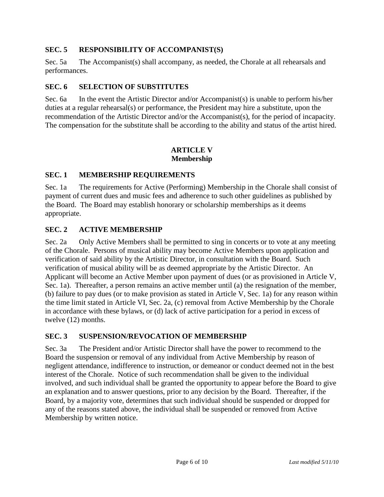# **SEC. 5 RESPONSIBILITY OF ACCOMPANIST(S)**

Sec. 5a The Accompanist(s) shall accompany, as needed, the Chorale at all rehearsals and performances.

#### **SEC. 6 SELECTION OF SUBSTITUTES**

Sec. 6a In the event the Artistic Director and/or Accompanist(s) is unable to perform his/her duties at a regular rehearsal(s) or performance, the President may hire a substitute, upon the recommendation of the Artistic Director and/or the Accompanist(s), for the period of incapacity. The compensation for the substitute shall be according to the ability and status of the artist hired.

#### **ARTICLE V Membership**

#### **SEC. 1 MEMBERSHIP REQUIREMENTS**

Sec. 1a The requirements for Active (Performing) Membership in the Chorale shall consist of payment of current dues and music fees and adherence to such other guidelines as published by the Board. The Board may establish honorary or scholarship memberships as it deems appropriate.

#### **SEC. 2 ACTIVE MEMBERSHIP**

Sec. 2a Only Active Members shall be permitted to sing in concerts or to vote at any meeting of the Chorale. Persons of musical ability may become Active Members upon application and verification of said ability by the Artistic Director, in consultation with the Board. Such verification of musical ability will be as deemed appropriate by the Artistic Director. An Applicant will become an Active Member upon payment of dues (or as provisioned in Article V, Sec. 1a). Thereafter, a person remains an active member until (a) the resignation of the member, (b) failure to pay dues (or to make provision as stated in Article V, Sec. 1a) for any reason within the time limit stated in Article VI, Sec. 2a, (c) removal from Active Membership by the Chorale in accordance with these bylaws, or (d) lack of active participation for a period in excess of twelve (12) months.

#### **SEC. 3 SUSPENSION/REVOCATION OF MEMBERSHIP**

Sec. 3a The President and/or Artistic Director shall have the power to recommend to the Board the suspension or removal of any individual from Active Membership by reason of negligent attendance, indifference to instruction, or demeanor or conduct deemed not in the best interest of the Chorale. Notice of such recommendation shall be given to the individual involved, and such individual shall be granted the opportunity to appear before the Board to give an explanation and to answer questions, prior to any decision by the Board. Thereafter, if the Board, by a majority vote, determines that such individual should be suspended or dropped for any of the reasons stated above, the individual shall be suspended or removed from Active Membership by written notice.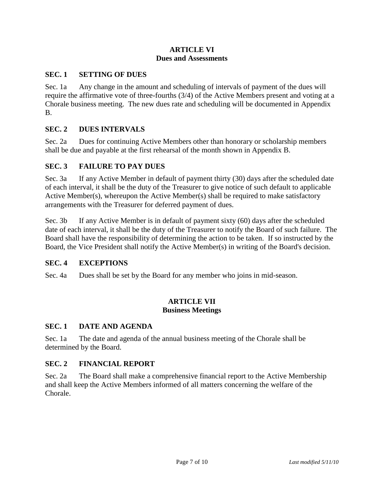#### **ARTICLE VI Dues and Assessments**

#### **SEC. 1 SETTING OF DUES**

Sec. 1a Any change in the amount and scheduling of intervals of payment of the dues will require the affirmative vote of three-fourths (3/4) of the Active Members present and voting at a Chorale business meeting. The new dues rate and scheduling will be documented in Appendix B.

#### **SEC. 2 DUES INTERVALS**

Sec. 2a Dues for continuing Active Members other than honorary or scholarship members shall be due and payable at the first rehearsal of the month shown in Appendix B.

#### **SEC. 3 FAILURE TO PAY DUES**

Sec. 3a If any Active Member in default of payment thirty (30) days after the scheduled date of each interval, it shall be the duty of the Treasurer to give notice of such default to applicable Active Member(s), whereupon the Active Member(s) shall be required to make satisfactory arrangements with the Treasurer for deferred payment of dues.

Sec. 3b If any Active Member is in default of payment sixty (60) days after the scheduled date of each interval, it shall be the duty of the Treasurer to notify the Board of such failure. The Board shall have the responsibility of determining the action to be taken. If so instructed by the Board, the Vice President shall notify the Active Member(s) in writing of the Board's decision.

#### **SEC. 4 EXCEPTIONS**

Sec. 4a Dues shall be set by the Board for any member who joins in mid-season.

#### **ARTICLE VII Business Meetings**

#### **SEC. 1 DATE AND AGENDA**

Sec. 1a The date and agenda of the annual business meeting of the Chorale shall be determined by the Board.

#### **SEC. 2 FINANCIAL REPORT**

Sec. 2a The Board shall make a comprehensive financial report to the Active Membership and shall keep the Active Members informed of all matters concerning the welfare of the Chorale.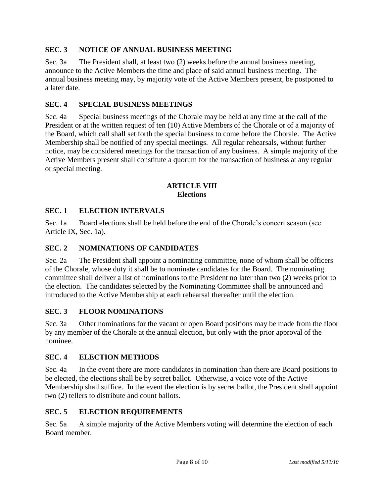# **SEC. 3 NOTICE OF ANNUAL BUSINESS MEETING**

Sec. 3a The President shall, at least two (2) weeks before the annual business meeting, announce to the Active Members the time and place of said annual business meeting. The annual business meeting may, by majority vote of the Active Members present, be postponed to a later date.

# **SEC. 4 SPECIAL BUSINESS MEETINGS**

Sec. 4a Special business meetings of the Chorale may be held at any time at the call of the President or at the written request of ten (10) Active Members of the Chorale or of a majority of the Board, which call shall set forth the special business to come before the Chorale. The Active Membership shall be notified of any special meetings. All regular rehearsals, without further notice, may be considered meetings for the transaction of any business. A simple majority of the Active Members present shall constitute a quorum for the transaction of business at any regular or special meeting.

#### **ARTICLE VIII Elections**

# **SEC. 1 ELECTION INTERVALS**

Sec. 1a Board elections shall be held before the end of the Chorale's concert season (see Article IX, Sec. 1a).

# **SEC. 2 NOMINATIONS OF CANDIDATES**

Sec. 2a The President shall appoint a nominating committee, none of whom shall be officers of the Chorale, whose duty it shall be to nominate candidates for the Board. The nominating committee shall deliver a list of nominations to the President no later than two (2) weeks prior to the election. The candidates selected by the Nominating Committee shall be announced and introduced to the Active Membership at each rehearsal thereafter until the election.

# **SEC. 3 FLOOR NOMINATIONS**

Sec. 3a Other nominations for the vacant or open Board positions may be made from the floor by any member of the Chorale at the annual election, but only with the prior approval of the nominee.

# **SEC. 4 ELECTION METHODS**

Sec. 4a In the event there are more candidates in nomination than there are Board positions to be elected, the elections shall be by secret ballot. Otherwise, a voice vote of the Active Membership shall suffice. In the event the election is by secret ballot, the President shall appoint two (2) tellers to distribute and count ballots.

# **SEC. 5 ELECTION REQUIREMENTS**

Sec. 5a A simple majority of the Active Members voting will determine the election of each Board member.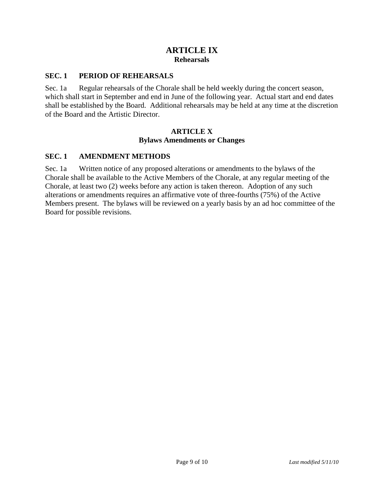# **ARTICLE IX Rehearsals**

#### **SEC. 1 PERIOD OF REHEARSALS**

Sec. 1a Regular rehearsals of the Chorale shall be held weekly during the concert season, which shall start in September and end in June of the following year. Actual start and end dates shall be established by the Board. Additional rehearsals may be held at any time at the discretion of the Board and the Artistic Director.

#### **ARTICLE X Bylaws Amendments or Changes**

#### **SEC. 1 AMENDMENT METHODS**

Sec. 1a Written notice of any proposed alterations or amendments to the bylaws of the Chorale shall be available to the Active Members of the Chorale, at any regular meeting of the Chorale, at least two (2) weeks before any action is taken thereon. Adoption of any such alterations or amendments requires an affirmative vote of three-fourths (75%) of the Active Members present. The bylaws will be reviewed on a yearly basis by an ad hoc committee of the Board for possible revisions.